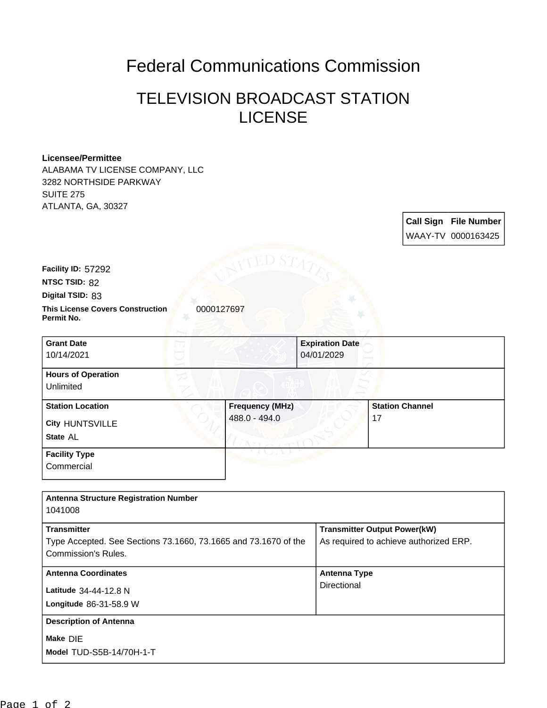## Federal Communications Commission

## TELEVISION BROADCAST STATION **LICENSE**

## **Licensee/Permittee**

ALABAMA TV LICENSE COMPANY, LLC 3282 NORTHSIDE PARKWAY SUITE 275 ATLANTA, GA, 30327

> **Call Sign File Number** WAAY-TV 0000163425

**Facility ID:** 57292

**NTSC TSID:** 82

**Digital TSID:** 83

**Commercial** 

**This License Covers Construction**  0000127697 **Permit No.**

| <b>Grant Date</b><br>10/14/2021        | <b>Expiration Date</b><br>04/01/2029 |                        |
|----------------------------------------|--------------------------------------|------------------------|
| <b>Hours of Operation</b><br>Unlimited |                                      |                        |
| <b>Station Location</b>                | <b>Frequency (MHz)</b>               | <b>Station Channel</b> |
| <b>City HUNTSVILLE</b>                 | 488.0 - 494.0                        | 17                     |
| State AL                               |                                      |                        |
| <b>Facility Type</b>                   |                                      |                        |

| <b>Antenna Structure Registration Number</b>                    |                                        |
|-----------------------------------------------------------------|----------------------------------------|
| 1041008                                                         |                                        |
| <b>Transmitter</b>                                              | <b>Transmitter Output Power(kW)</b>    |
| Type Accepted. See Sections 73.1660, 73.1665 and 73.1670 of the | As required to achieve authorized ERP. |
| Commission's Rules.                                             |                                        |
| <b>Antenna Coordinates</b>                                      | <b>Antenna Type</b>                    |
| Latitude 34-44-12.8 N                                           | Directional                            |
| Longitude 86-31-58.9 W                                          |                                        |
| <b>Description of Antenna</b>                                   |                                        |
| Make DIE                                                        |                                        |
| Model TUD-S5B-14/70H-1-T                                        |                                        |